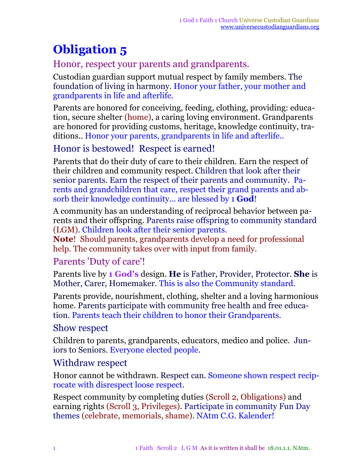# **Obligation 5**

# Honor, respect your parents and grandparents.

Custodian guardian support mutual respect by family members. The foundation of living in harmony. Honor your father, your mother and grandparents in life and afterlife.

Parents are honored for conceiving, feeding, clothing, providing: education, secure shelter (home), a caring loving environment. Grandparents are honored for providing customs, heritage, knowledge continuity, traditions.. Honor your parents, grandparents in life and afterlife..

## Honor is bestowed! Respect is earned!

Parents that do their duty of care to their children. Earn the respect of their children and community respect. Children that look after their senior parents. Earn the respect of their parents and community. Parents and grandchildren that care, respect their grand parents and absorb their knowledge continuity... are blessed by 1 **God**!

A community has an understanding of reciprocal behavior between parents and their offspring. Parents raise offspring to community standard (LGM). Children look after their senior parents.

**Note**! Should parents, grandparents develop a need for professional help. The community takes over with input from family.

### Parents 'Duty of care'!

Parents live by **1 God's** design. **He** is Father, Provider, Protector. **She** is Mother, Carer, Homemaker. This is also the Community standard.

Parents provide, nourishment, clothing, shelter and a loving harmonious home. Parents participate with community free health and free education. Parents teach their children to honor their Grandparents.

#### Show respect

Children to parents, grandparents, educators, medico and police. Juniors to Seniors. Everyone elected people.

#### Withdraw respect

Honor cannot be withdrawn. Respect can. Someone shown respect reciprocate with disrespect loose respect.

Respect community by completing duties (Scroll 2, Obligations) and earning rights (Scroll 3, Privileges). Participate in community Fun Day themes (celebrate, memorials, shame). NAtm C.G. Kalender!